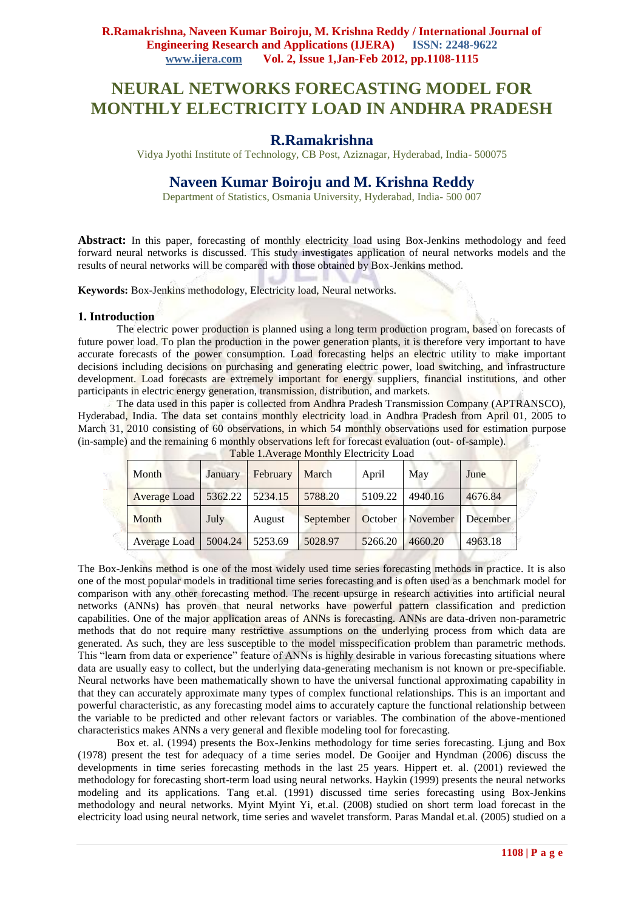# **NEURAL NETWORKS FORECASTING MODEL FOR MONTHLY ELECTRICITY LOAD IN ANDHRA PRADESH**

## **R.Ramakrishna**

Vidya Jyothi Institute of Technology, CB Post, Aziznagar, Hyderabad, India- 500075

## **Naveen Kumar Boiroju and M. Krishna Reddy**

Department of Statistics, Osmania University, Hyderabad, India- 500 007

**Abstract:** In this paper, forecasting of monthly electricity load using Box-Jenkins methodology and feed forward neural networks is discussed. This study investigates application of neural networks models and the results of neural networks will be compared with those obtained by Box-Jenkins method.

**Keywords:** Box-Jenkins methodology, Electricity load, Neural networks.

#### **1. Introduction**

The electric power production is planned using a long term production program, based on forecasts of future power load. To plan the production in the power generation plants, it is therefore very important to have accurate forecasts of the power consumption. Load forecasting helps an electric utility to make important decisions including decisions on purchasing and generating electric power, load switching, and infrastructure development. Load forecasts are extremely important for energy suppliers, financial institutions, and other participants in electric energy generation, transmission, distribution, and markets.

The data used in this paper is collected from Andhra Pradesh Transmission Company (APTRANSCO), Hyderabad, India. The data set contains monthly electricity load in Andhra Pradesh from April 01, 2005 to March 31, 2010 consisting of 60 observations, in which 54 monthly observations used for estimation purpose (in-sample) and the remaining 6 monthly observations left for forecast evaluation (out- of-sample).  $\sim$ 

| Month               | January | February | March     | April   | May                     | June     |
|---------------------|---------|----------|-----------|---------|-------------------------|----------|
| Average Load        | 5362.22 | 5234.15  | 5788.20   | 5109.22 | 4940.16                 | 4676.84  |
| Month               | July    | August   | September |         | <b>October</b> November | December |
| <b>Average Load</b> | 5004.24 | 5253.69  | 5028.97   | 5266.20 | 4660.20                 | 4963.18  |

Table 1. Average Monthly Electricity Load

The Box-Jenkins method is one of the most widely used time series forecasting methods in practice. It is also one of the most popular models in traditional time series forecasting and is often used as a benchmark model for comparison with any other forecasting method. The recent upsurge in research activities into artificial neural networks (ANNs) has proven that neural networks have powerful pattern classification and prediction capabilities. One of the major application areas of ANNs is forecasting. ANNs are data-driven non-parametric methods that do not require many restrictive assumptions on the underlying process from which data are generated. As such, they are less susceptible to the model misspecification problem than parametric methods. This "learn from data or experience" feature of ANNs is highly desirable in various forecasting situations where data are usually easy to collect, but the underlying data-generating mechanism is not known or pre-specifiable. Neural networks have been mathematically shown to have the universal functional approximating capability in that they can accurately approximate many types of complex functional relationships. This is an important and powerful characteristic, as any forecasting model aims to accurately capture the functional relationship between the variable to be predicted and other relevant factors or variables. The combination of the above-mentioned characteristics makes ANNs a very general and flexible modeling tool for forecasting.

Box et. al. (1994) presents the Box-Jenkins methodology for time series forecasting. Ljung and Box (1978) present the test for adequacy of a time series model. De Gooijer and Hyndman (2006) discuss the developments in time series forecasting methods in the last 25 years. Hippert et. al. (2001) reviewed the methodology for forecasting short-term load using neural networks. Haykin (1999) presents the neural networks modeling and its applications. Tang et.al. (1991) discussed time series forecasting using Box-Jenkins methodology and neural networks. Myint Myint Yi, et.al. (2008) studied on short term load forecast in the electricity load using neural network, time series and wavelet transform. Paras Mandal et.al. (2005) studied on a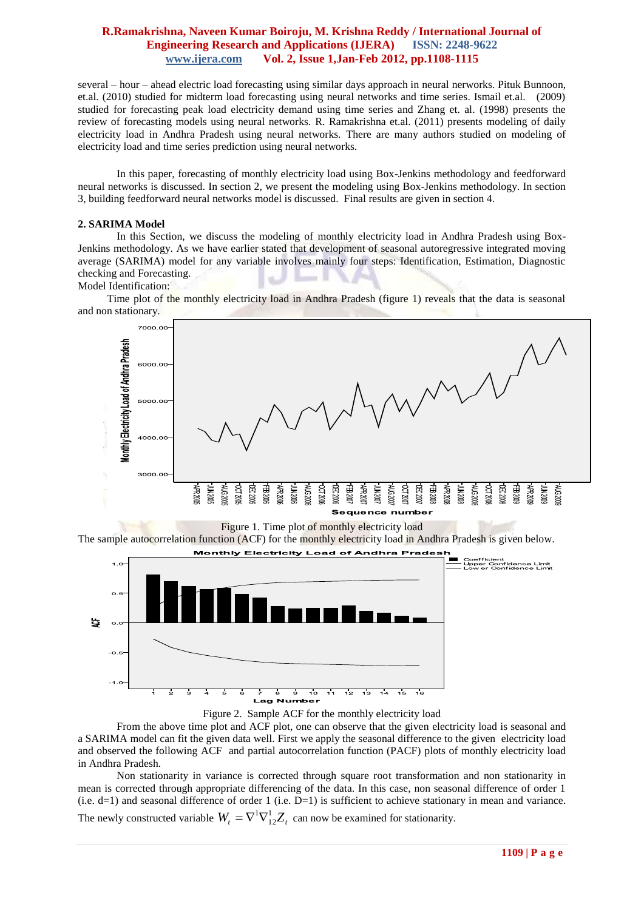several – hour – ahead electric load forecasting using similar days approach in neural nerworks. Pituk Bunnoon, et.al. (2010) studied for midterm load forecasting using neural networks and time series. Ismail et.al. (2009) studied for forecasting peak load electricity demand using time series and Zhang et. al. (1998) presents the review of forecasting models using neural networks. R. Ramakrishna et.al. (2011) presents modeling of daily electricity load in Andhra Pradesh using neural networks. There are many authors studied on modeling of electricity load and time series prediction using neural networks.

In this paper, forecasting of monthly electricity load using Box-Jenkins methodology and feedforward neural networks is discussed. In section 2, we present the modeling using Box-Jenkins methodology. In section 3, building feedforward neural networks model is discussed. Final results are given in section 4.

#### **2. SARIMA Model**

In this Section, we discuss the modeling of monthly electricity load in Andhra Pradesh using Box-Jenkins methodology. As we have earlier stated that development of seasonal autoregressive integrated moving average (SARIMA) model for any variable involves mainly four steps: Identification, Estimation, Diagnostic checking and Forecasting.

#### Model Identification:

Time plot of the monthly electricity load in Andhra Pradesh (figure 1) reveals that the data is seasonal and non stationary.



Figure 1. Time plot of monthly electricity load

The sample autocorrelation function (ACF) for the monthly electricity load in Andhra Pradesh is given below.





From the above time plot and ACF plot, one can observe that the given electricity load is seasonal and a SARIMA model can fit the given data well. First we apply the seasonal difference to the given electricity load and observed the following ACF and partial autocorrelation function (PACF) plots of monthly electricity load in Andhra Pradesh.

Non stationarity in variance is corrected through square root transformation and non stationarity in mean is corrected through appropriate differencing of the data. In this case, non seasonal difference of order 1 (i.e.  $d=1$ ) and seasonal difference of order 1 (i.e.  $D=1$ ) is sufficient to achieve stationary in mean and variance. The newly constructed variable  $W_t = \nabla^1 \nabla^1_{12} Z_t$ 12  $= \nabla^1 \nabla^1_{12} Z_t$  can now be examined for stationarity.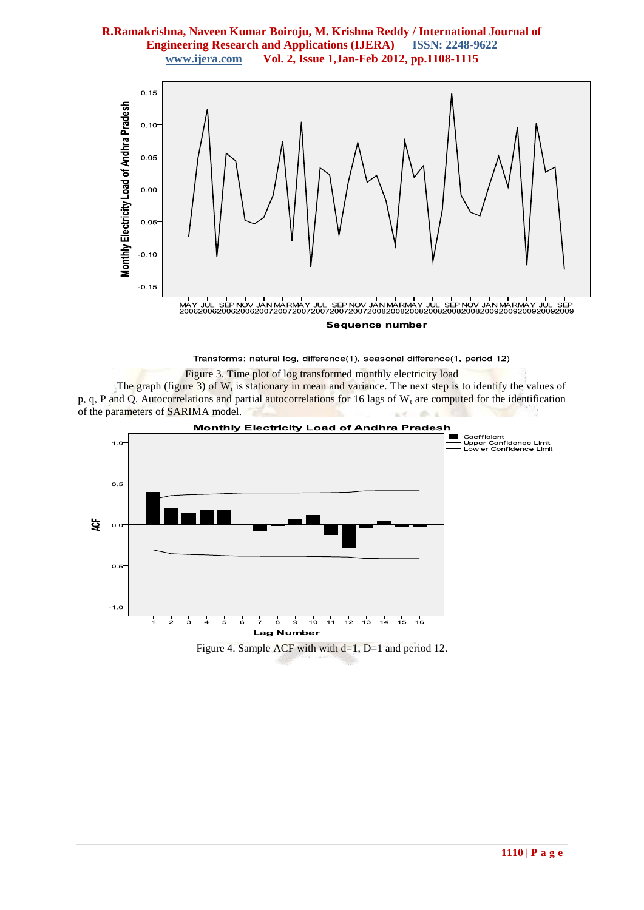

Transforms: natural log, difference(1), seasonal difference(1, period 12)

Figure 3. Time plot of log transformed monthly electricity load

The graph (figure 3) of  $W_t$  is stationary in mean and variance. The next step is to identify the values of p, q, P and Q. Autocorrelations and partial autocorrelations for 16 lags of  $W_t$  are computed for the identification of the parameters of SARIMA model. about a ALC HAT

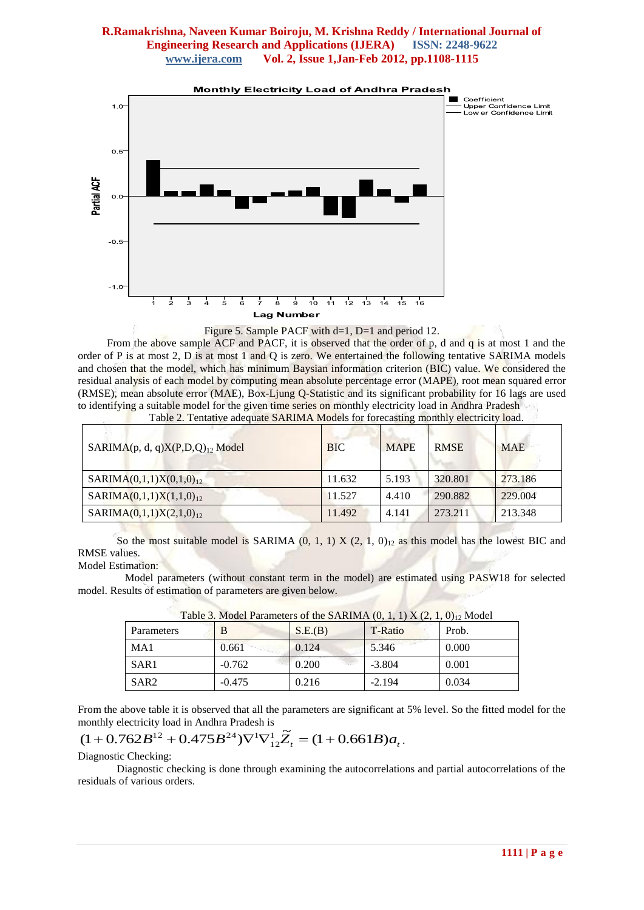

#### Figure 5. Sample PACF with d=1, D=1 and period 12.

From the above sample ACF and PACF, it is observed that the order of p, d and q is at most 1 and the order of P is at most 2, D is at most 1 and Q is zero. We entertained the following tentative SARIMA models and chosen that the model, which has minimum Baysian information criterion (BIC) value. We considered the residual analysis of each model by computing mean absolute percentage error (MAPE), root mean squared error (RMSE), mean absolute error (MAE), Box-Ljung Q-Statistic and its significant probability for 16 lags are used to identifying a suitable model for the given time series on monthly electricity load in Andhra Pradesh

| $SARIMA(p, d, q)X(P, D, Q)_{12}Model$ | <b>BIC</b> | <b>MAPE</b> | <b>RMSE</b> | <b>MAE</b> |
|---------------------------------------|------------|-------------|-------------|------------|
| $SARIMA(0,1,1)X(0,1,0)_{12}$          | 11.632     | 5.193       | 320.801     | 273.186    |
| $SARIMA(0,1,1)X(1,1,0)_{12}$          | 11.527     | 4.410       | 290.882     | 229,004    |
| $SARIMA(0,1,1)X(2,1,0)_{12}$          | 11.492     | 4.141       | 273.211     | 213.348    |

Table 2. Tentative adequate SARIMA Models for forecasting monthly electricity load.

So the most suitable model is SARIMA  $(0, 1, 1)$  X  $(2, 1, 0)$ <sub>12</sub> as this model has the lowest BIC and RMSE values.

#### Model Estimation:

 Model parameters (without constant term in the model) are estimated using PASW18 for selected model. Results of estimation of parameters are given below.

| Parameters       |          | S.E.(B) | T-Ratio  | Prob. |
|------------------|----------|---------|----------|-------|
| MA1              | 0.661    | 0.124   | 5.346    | 0.000 |
| SAR1             | $-0.762$ | 0.200   | $-3.804$ | 0.001 |
| SAR <sub>2</sub> | $-0.475$ | 0.216   | $-2.194$ | 0.034 |

From the above table it is observed that all the parameters are significant at 5% level. So the fitted model for the ~<br>∕7 ty load in Andhra Prades<br> $11^2 + 0.475B^{24}V^1$ 

\n monthly electricity load in Andhra Pradesh is\n 
$$
(1 + 0.762B^{12} + 0.475B^{24})\nabla^1 \nabla^1_{12} \tilde{Z}_t = (1 + 0.661B)a_t.
$$
\n

Diagnostic Checking:

Diagnostic checking is done through examining the autocorrelations and partial autocorrelations of the residuals of various orders.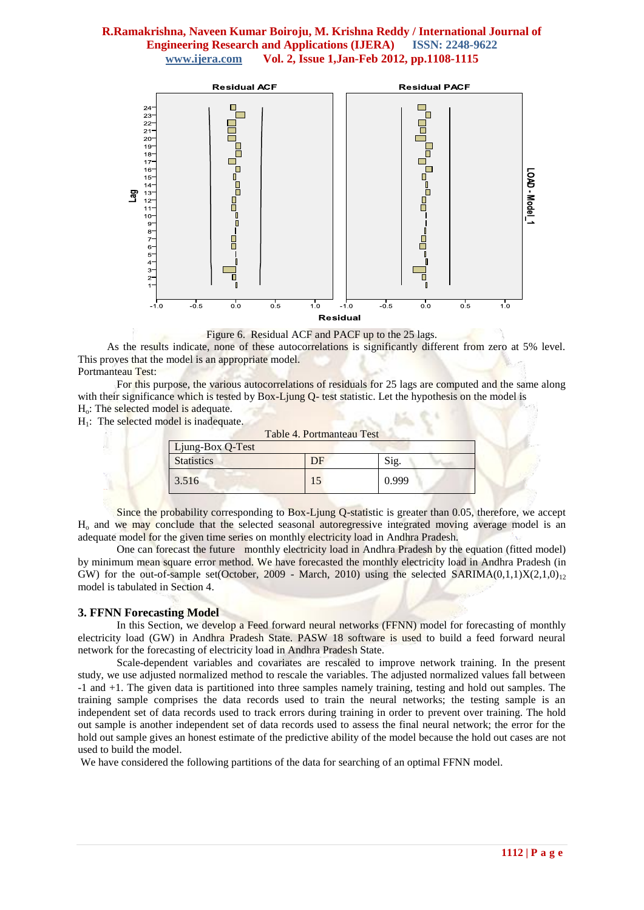



As the results indicate, none of these autocorrelations is significantly different from zero at 5% level. This proves that the model is an appropriate model. Portmanteau Test:

For this purpose, the various autocorrelations of residuals for 25 lags are computed and the same along with their significance which is tested by Box-Ljung Q- test statistic. Let the hypothesis on the model is H<sub>o</sub>: The selected model is adequate.

 $H_1$ : The selected model is inadequate.

|                   | Table 4. Portmanteau Test |       |  |
|-------------------|---------------------------|-------|--|
| Ljung-Box Q-Test  |                           |       |  |
| <b>Statistics</b> | DF                        | Sig.  |  |
| 3.516             | 15                        | 0.999 |  |

Since the probability corresponding to Box-Ljung Q-statistic is greater than 0.05, therefore, we accept H<sub>o</sub> and we may conclude that the selected seasonal autoregressive integrated moving average model is an adequate model for the given time series on monthly electricity load in Andhra Pradesh.

One can forecast the future monthly electricity load in Andhra Pradesh by the equation (fitted model) by minimum mean square error method. We have forecasted the monthly electricity load in Andhra Pradesh (in GW) for the out-of-sample set(October, 2009 - March, 2010) using the selected  $SARIMA(0,1,1)X(2,1,0)<sub>12</sub>$ model is tabulated in Section 4.

#### **3. FFNN Forecasting Model**

In this Section, we develop a Feed forward neural networks (FFNN) model for forecasting of monthly electricity load (GW) in Andhra Pradesh State. PASW 18 software is used to build a feed forward neural network for the forecasting of electricity load in Andhra Pradesh State.

Scale-dependent variables and covariates are rescaled to improve network training. In the present study, we use adjusted normalized method to rescale the variables. The adjusted normalized values fall between -1 and +1. The given data is partitioned into three samples namely training, testing and hold out samples. The training sample comprises the data records used to train the neural networks; the testing sample is an independent set of data records used to track errors during training in order to prevent over training. The hold out sample is another independent set of data records used to assess the final neural network; the error for the hold out sample gives an honest estimate of the predictive ability of the model because the hold out cases are not used to build the model.

We have considered the following partitions of the data for searching of an optimal FFNN model.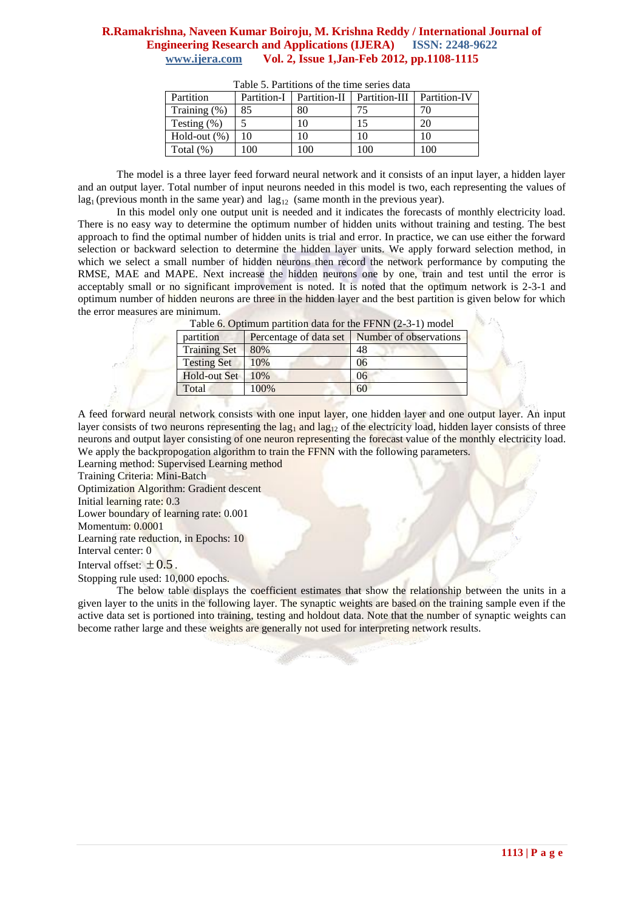| Partition       | Partition-I | Partition-II | Partition-III Partition-IV |     |
|-----------------|-------------|--------------|----------------------------|-----|
| Training (%)    | 85          | 80           | 75                         | 70  |
| Testing $(\%)$  |             |              |                            | 20  |
| Hold-out $(\%)$ |             |              |                            | 10  |
| Total $(\%)$    | 100         | 00           | 100                        | 100 |

Table 5. Partitions of the time series data

The model is a three layer feed forward neural network and it consists of an input layer, a hidden layer and an output layer. Total number of input neurons needed in this model is two, each representing the values of  $lag<sub>1</sub>$  (previous month in the same year) and  $lag<sub>12</sub>$  (same month in the previous year).

In this model only one output unit is needed and it indicates the forecasts of monthly electricity load. There is no easy way to determine the optimum number of hidden units without training and testing. The best approach to find the optimal number of hidden units is trial and error. In practice, we can use either the forward selection or backward selection to determine the hidden layer units. We apply forward selection method, in which we select a small number of hidden neurons then record the network performance by computing the RMSE, MAE and MAPE. Next increase the hidden neurons one by one, train and test until the error is acceptably small or no significant improvement is noted. It is noted that the optimum network is 2-3-1 and optimum number of hidden neurons are three in the hidden layer and the best partition is given below for which the error measures are minimum.

| partition           | Percentage of data set | Number of observations |
|---------------------|------------------------|------------------------|
| <b>Training Set</b> | 80%                    | 48                     |
| <b>Testing Set</b>  | 10%                    | 06                     |
| Hold-out Set        | 10%                    | 06                     |
| Total               | 100%                   | 60                     |

Table 6. Optimum partition data for the FFNN (2-3-1) model

A feed forward neural network consists with one input layer, one hidden layer and one output layer. An input layer consists of two neurons representing the lag<sub>1</sub> and lag<sub>12</sub> of the electricity load, hidden layer consists of three neurons and output layer consisting of one neuron representing the forecast value of the monthly electricity load. We apply the backpropogation algorithm to train the FFNN with the following parameters.

Learning method: Supervised Learning method

Training Criteria: Mini-Batch

Optimization Algorithm: Gradient descent

Initial learning rate: 0.3

Lower boundary of learning rate: 0.001

Momentum: 0.0001

Learning rate reduction, in Epochs: 10

Interval center: 0

Interval offset:  $\pm 0.5$ .

Stopping rule used: 10,000 epochs.

The below table displays the coefficient estimates that show the relationship between the units in a given layer to the units in the following layer. The synaptic weights are based on the training sample even if the active data set is portioned into training, testing and holdout data. Note that the number of synaptic weights can become rather large and these weights are generally not used for interpreting network results.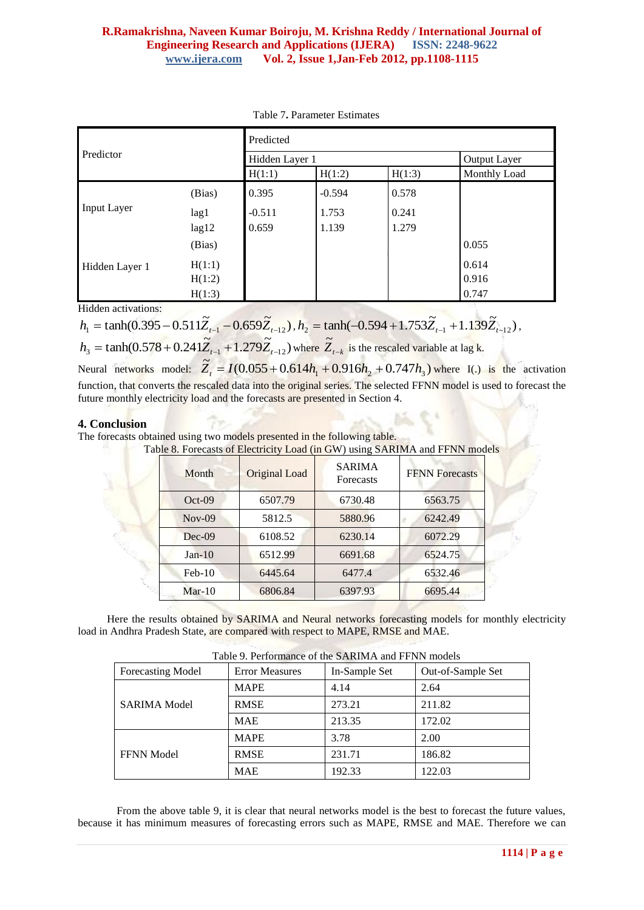| Predictor          |                  | Predicted         |                |                |                |  |  |
|--------------------|------------------|-------------------|----------------|----------------|----------------|--|--|
|                    |                  | Hidden Layer 1    |                |                | Output Layer   |  |  |
|                    |                  | H(1:1)            | H(1:2)         | H(1:3)         | Monthly Load   |  |  |
|                    | (Bias)           | 0.395             | $-0.594$       | 0.578          |                |  |  |
| <b>Input Layer</b> | lag1<br>lag12    | $-0.511$<br>0.659 | 1.753<br>1.139 | 0.241<br>1.279 |                |  |  |
|                    | (Bias)           |                   |                |                | 0.055          |  |  |
| Hidden Layer 1     | H(1:1)<br>H(1:2) |                   |                |                | 0.614<br>0.916 |  |  |
|                    | H(1:3)           |                   |                |                | 0.747          |  |  |

|  |  |  | Table 7. Parameter Estimates |  |
|--|--|--|------------------------------|--|
|--|--|--|------------------------------|--|

Hidden activations:

 $h_1 = \tanh(0.395 - 0.511\tilde{Z}_{t-1} - 0.659\tilde{Z}_{t-12}), h_2 = \tanh(-0.594 + 1.753\tilde{Z}_{t-1} + 1.139\tilde{Z}_{t-12}),$ 

 $h_3 = \tanh(0.578 + 0.241\tilde{Z}_{t-1} + 1.279\tilde{Z}_{t-12})$  where  $\tilde{Z}_{t-k}$  is the rescaled variable at lag k.

Neural networks model:  $\tilde{Z}_t = I(0.055 + 0.614h_1 + 0.916h_2 + 0.747h_3)$  where I(.) is the activation function, that converts the rescaled data into the original series. The selected FFNN model is used to forecast the future monthly electricity load and the forecasts are presented in Section 4.

### **4. Conclusion**

The forecasts obtained using two models presented in the following table.

Table 8. Forecasts of Electricity Load (in GW) using SARIMA and FFNN models

| Month    | Original Load | <b>SARIMA</b><br><b>Forecasts</b> | <b>FFNN Forecasts</b> |
|----------|---------------|-----------------------------------|-----------------------|
| $Oct-09$ | 6507.79       | 6730.48                           | 6563.75               |
| $Nov-09$ | 5812.5        | 5880.96                           | 6242.49               |
| $Dec-09$ | 6108.52       | 6230.14                           | 6072.29               |
| $Jan-10$ | 6512.99       | 6691.68                           | 6524.75               |
| $Feb-10$ | 6445.64       | 6477.4                            | 6532.46               |
| $Mar-10$ | 6806.84       | 6397.93                           | 6695.44               |

Here the results obtained by SARIMA and Neural networks forecasting models for monthly electricity load in Andhra Pradesh State, are compared with respect to MAPE, RMSE and MAE.

|                          | Table 9. Performance of the SARIMA and FFNN models |               |                   |
|--------------------------|----------------------------------------------------|---------------|-------------------|
| <b>Forecasting Model</b> | <b>Error Measures</b>                              | In-Sample Set | Out-of-Sample Set |
|                          | <b>MAPE</b>                                        | 4.14          | 2.64              |
| <b>SARIMA</b> Model      | <b>RMSE</b>                                        | 273.21        | 211.82            |
|                          | <b>MAE</b>                                         | 213.35        | 172.02            |
|                          | <b>MAPE</b>                                        | 3.78          | 2.00              |
| <b>FFNN Model</b>        | <b>RMSE</b>                                        | 231.71        | 186.82            |
|                          | <b>MAE</b>                                         | 192.33        | 122.03            |

|  |  | Table 9. Performance of the SARIMA and FFNN models |  |  |
|--|--|----------------------------------------------------|--|--|
|--|--|----------------------------------------------------|--|--|

From the above table 9, it is clear that neural networks model is the best to forecast the future values, because it has minimum measures of forecasting errors such as MAPE, RMSE and MAE. Therefore we can